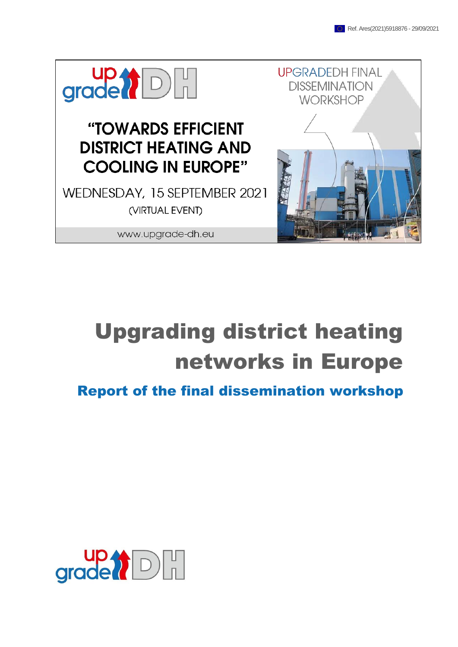

www.upgrade-dh.eu



# Upgrading district heating networks in Europe

Report of the final dissemination workshop

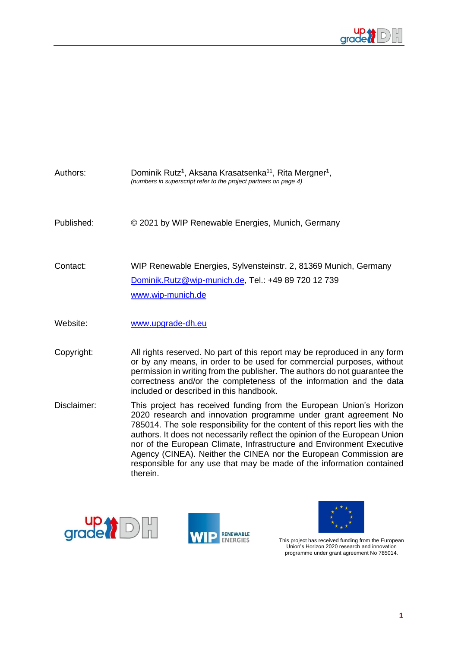

| Authors:    | Dominik Rutz <sup>1</sup> , Aksana Krasatsenka <sup>11</sup> , Rita Mergner <sup>1</sup> ,<br>(numbers in superscript refer to the project partners on page 4)                                                                                                                                                                                                                                                                                                                                                              |
|-------------|-----------------------------------------------------------------------------------------------------------------------------------------------------------------------------------------------------------------------------------------------------------------------------------------------------------------------------------------------------------------------------------------------------------------------------------------------------------------------------------------------------------------------------|
| Published:  | © 2021 by WIP Renewable Energies, Munich, Germany                                                                                                                                                                                                                                                                                                                                                                                                                                                                           |
| Contact:    | WIP Renewable Energies, Sylvensteinstr. 2, 81369 Munich, Germany<br>Dominik.Rutz@wip-munich.de, Tel.: +49 89 720 12 739<br>www.wip-munich.de                                                                                                                                                                                                                                                                                                                                                                                |
| Website:    | www.upgrade-dh.eu                                                                                                                                                                                                                                                                                                                                                                                                                                                                                                           |
| Copyright:  | All rights reserved. No part of this report may be reproduced in any form<br>or by any means, in order to be used for commercial purposes, without<br>permission in writing from the publisher. The authors do not guarantee the<br>correctness and/or the completeness of the information and the data<br>included or described in this handbook.                                                                                                                                                                          |
| Disclaimer: | This project has received funding from the European Union's Horizon<br>2020 research and innovation programme under grant agreement No<br>785014. The sole responsibility for the content of this report lies with the<br>authors. It does not necessarily reflect the opinion of the European Union<br>nor of the European Climate, Infrastructure and Environment Executive<br>Agency (CINEA). Neither the CINEA nor the European Commission are<br>responsible for any use that may be made of the information contained |



therein.





This project has received funding from the European Union's Horizon 2020 research and innovation programme under grant agreement No 785014.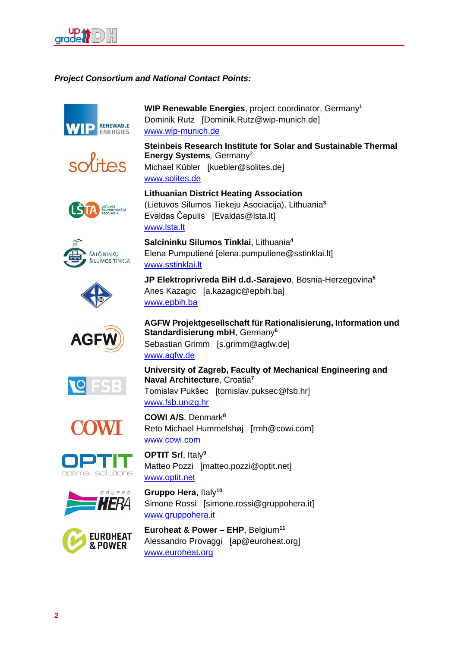

### *Project Consortium and National Contact Points:*





**WIP Renewable Energies**, project coordinator, Germany**<sup>1</sup>** Dominik Rutz [Dominik.Rutz@wip-munich.de] [www.wip-munich.de](http://www.gruppohera.it/)

**Steinbeis Research Institute for Solar and Sustainable Thermal Energy Systems***,* Germany<sup>2</sup> Michael Kübler [kuebler@solites.de]

[www.solites.de](https://www.euroheat.org/news/district-energy-in-the-news/top-district-heating-countries-euroheat-power-2015-survey-analysis/)

[www.lsta.lt](http://www.lsta.lt/)

[www.sstinklai.lt](http://www.optit.net/)







Anes Kazagic [a.kazagic@epbih.ba] [www.epbih.ba](http://www.epbih.ba/)

**JP Elektroprivreda BiH d.d.-Sarajevo**, Bosnia-Herzegovina**<sup>5</sup>**













**AGFW Projektgesellschaft für Rationalisierung, Information und Standardisierung mbH**, Germany**<sup>6</sup>** Sebastian Grimm [s.grimm@agfw.de] [www.agfw.de](http://www.coolheating.eu/)

**University of Zagreb, Faculty of Mechanical Engineering and Naval Architecture**, Croatia**<sup>7</sup>** Tomislav Pukšec [tomislav.puksec@fsb.hr]

[www.fsb.unizg.hr](https://www.euroheat.org/news/european-heating-sector-well-positioned-renewables-integration/)

**Lithuanian District Heating Association**

**Salcininku Silumos Tinklai**, Lithuania**<sup>4</sup>**

Evaldas Čepulis [Evaldas@lsta.lt]

(Lietuvos Silumos Tiekeju Asociacija), Lithuania**<sup>3</sup>**

Elena Pumputienė [elena.pumputiene@sstinklai.lt]

**COWI A/S**, Denmark**<sup>8</sup>** Reto Michael Hummelshøj [rmh@cowi.com] [www.cowi.com](https://ec.europa.eu/energy/sites/ener/files/documents/1_EN_ACT_part1_v14.pdf)

**OPTIT Srl**, Italy**<sup>9</sup>** Matteo Pozzi [matteo.pozzi@optit.net] [www.optit.net](http://www.elektroprivreda.ba/)

**Gruppo Hera**, Italy**<sup>10</sup>** Simone Rossi [simone.rossi@gruppohera.it] [www.gruppohera.it](http://www.upgrade-dh.eu/)

**Euroheat & Power – EHP**, Belgium**<sup>11</sup>** Alessandro Provaggi [ap@euroheat.org] [www.euroheat.org](http://www.fsb.unizg.hr/)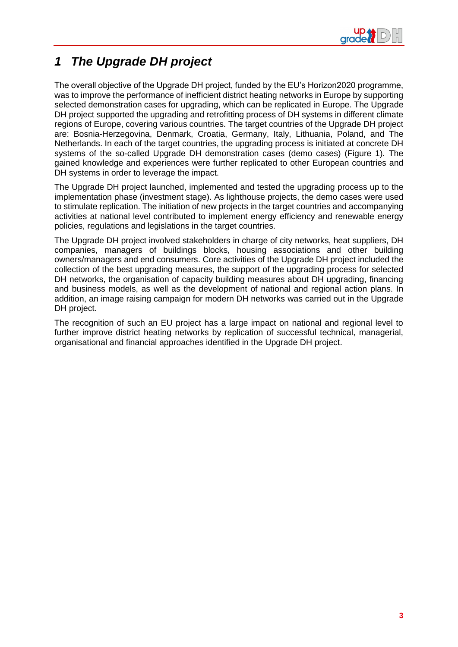

## *1 The Upgrade DH project*

The overall objective of the Upgrade DH project, funded by the EU's Horizon2020 programme, was to improve the performance of inefficient district heating networks in Europe by supporting selected demonstration cases for upgrading, which can be replicated in Europe. The Upgrade DH project supported the upgrading and retrofitting process of DH systems in different climate regions of Europe, covering various countries. The target countries of the Upgrade DH project are: Bosnia-Herzegovina, Denmark, Croatia, Germany, Italy, Lithuania, Poland, and The Netherlands. In each of the target countries, the upgrading process is initiated at concrete DH systems of the so-called Upgrade DH demonstration cases (demo cases) (Figure 1). The gained knowledge and experiences were further replicated to other European countries and DH systems in order to leverage the impact.

The Upgrade DH project launched, implemented and tested the upgrading process up to the implementation phase (investment stage). As lighthouse projects, the demo cases were used to stimulate replication. The initiation of new projects in the target countries and accompanying activities at national level contributed to implement energy efficiency and renewable energy policies, regulations and legislations in the target countries.

The Upgrade DH project involved stakeholders in charge of city networks, heat suppliers, DH companies, managers of buildings blocks, housing associations and other building owners/managers and end consumers. Core activities of the Upgrade DH project included the collection of the best upgrading measures, the support of the upgrading process for selected DH networks, the organisation of capacity building measures about DH upgrading, financing and business models, as well as the development of national and regional action plans. In addition, an image raising campaign for modern DH networks was carried out in the Upgrade DH project.

The recognition of such an EU project has a large impact on national and regional level to further improve district heating networks by replication of successful technical, managerial, organisational and financial approaches identified in the Upgrade DH project.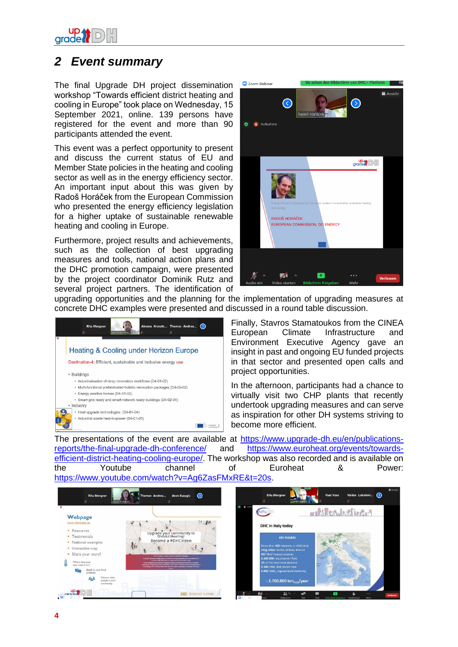

## *2 Event summary*

The final Upgrade DH project dissemination workshop "Towards efficient district heating and cooling in Europe" took place on Wednesday, 15 September 2021, online. 139 persons have registered for the event and more than 90 participants attended the event.

This event was a perfect opportunity to present and discuss the current status of EU and Member State policies in the heating and cooling sector as well as in the energy efficiency sector. An important input about this was given by Radoš Horáček from the European Commission who presented the energy efficiency legislation for a higher uptake of sustainable renewable heating and cooling in Europe.

Furthermore, project results and achievements, such as the collection of best upgrading measures and tools, national action plans and the DHC promotion campaign, were presented by the project coordinator Dominik Rutz and several project partners. The identification of



upgrading opportunities and the planning for the implementation of upgrading measures at concrete DHC examples were presented and discussed in a round table discussion.



Finally, Stavros Stamatoukos from the CINEA European Climate Infrastructure and Environment Executive Agency gave an insight in past and ongoing EU funded projects in that sector and presented open calls and project opportunities.

In the afternoon, participants had a chance to virtually visit two CHP plants that recently undertook upgrading measures and can serve as inspiration for other DH systems striving to become more efficient.

The presentations of the event are available at [https://www.upgrade-dh.eu/en/publications](https://www.upgrade-dh.eu/en/publications-reports/the-final-upgrade-dh-conference/)[reports/the-final-upgrade-dh-conference/](https://www.upgrade-dh.eu/en/publications-reports/the-final-upgrade-dh-conference/) and [https://www.euroheat.org/events/towards](https://www.euroheat.org/events/towards-efficient-district-heating-cooling-europe/)[efficient-district-heating-cooling-europe/.](https://www.euroheat.org/events/towards-efficient-district-heating-cooling-europe/) The workshop was also recorded and is available on the Youtube channel of Euroheat & Power: [https://www.youtube.com/watch?v=Ag6ZasFMxRE&t=20s.](https://www.youtube.com/watch?v=Ag6ZasFMxRE&t=20s)

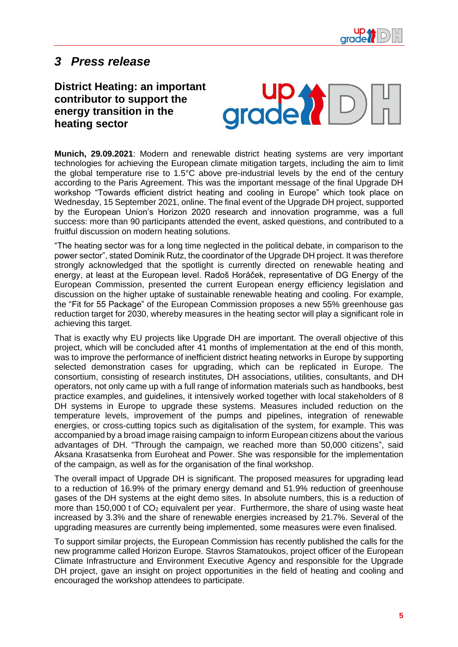

## *3 Press release*

**District Heating: an important contributor to support the energy transition in the heating sector**



**Munich, 29.09.2021**: Modern and renewable district heating systems are very important technologies for achieving the European climate mitigation targets, including the aim to limit the global temperature rise to 1.5°C above pre-industrial levels by the end of the century according to the Paris Agreement. This was the important message of the final Upgrade DH workshop "Towards efficient district heating and cooling in Europe" which took place on Wednesday, 15 September 2021, online. The final event of the Upgrade DH project, supported by the European Union's Horizon 2020 research and innovation programme, was a full success: more than 90 participants attended the event, asked questions, and contributed to a fruitful discussion on modern heating solutions.

"The heating sector was for a long time neglected in the political debate, in comparison to the power sector", stated Dominik Rutz, the coordinator of the Upgrade DH project. It was therefore strongly acknowledged that the spotlight is currently directed on renewable heating and energy, at least at the European level. Radoš Horáček, representative of DG Energy of the European Commission, presented the current European energy efficiency legislation and discussion on the higher uptake of sustainable renewable heating and cooling. For example, the "Fit for 55 Package" of the European Commission proposes a new 55% greenhouse gas reduction target for 2030, whereby measures in the heating sector will play a significant role in achieving this target.

That is exactly why EU projects like Upgrade DH are important. The overall objective of this project, which will be concluded after 41 months of implementation at the end of this month, was to improve the performance of inefficient district heating networks in Europe by supporting selected demonstration cases for upgrading, which can be replicated in Europe. The consortium, consisting of research institutes, DH associations, utilities, consultants, and DH operators, not only came up with a full range of information materials such as handbooks, best practice examples, and guidelines, it intensively worked together with local stakeholders of 8 DH systems in Europe to upgrade these systems. Measures included reduction on the temperature levels, improvement of the pumps and pipelines, integration of renewable energies, or cross-cutting topics such as digitalisation of the system, for example. This was accompanied by a broad image raising campaign to inform European citizens about the various advantages of DH. "Through the campaign, we reached more than 50,000 citizens", said Aksana Krasatsenka from Euroheat and Power. She was responsible for the implementation of the campaign, as well as for the organisation of the final workshop.

The overall impact of Upgrade DH is significant. The proposed measures for upgrading lead to a reduction of 16.9% of the primary energy demand and 51.9% reduction of greenhouse gases of the DH systems at the eight demo sites. In absolute numbers, this is a reduction of more than 150,000 t of  $CO<sub>2</sub>$  equivalent per year. Furthermore, the share of using waste heat increased by 3.3% and the share of renewable energies increased by 21.7%. Several of the upgrading measures are currently being implemented, some measures were even finalised.

To support similar projects, the European Commission has recently published the calls for the new programme called Horizon Europe. Stavros Stamatoukos, project officer of the European Climate Infrastructure and Environment Executive Agency and responsible for the Upgrade DH project, gave an insight on project opportunities in the field of heating and cooling and encouraged the workshop attendees to participate.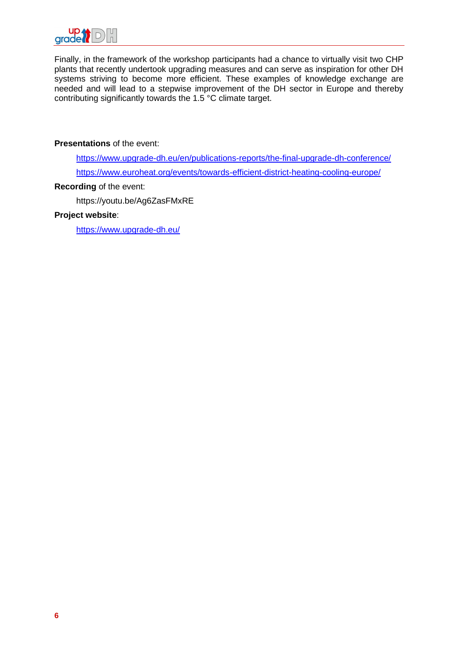

Finally, in the framework of the workshop participants had a chance to virtually visit two CHP plants that recently undertook upgrading measures and can serve as inspiration for other DH systems striving to become more efficient. These examples of knowledge exchange are needed and will lead to a stepwise improvement of the DH sector in Europe and thereby contributing significantly towards the 1.5 °C climate target.

#### **Presentations** of the event:

<https://www.upgrade-dh.eu/en/publications-reports/the-final-upgrade-dh-conference/> <https://www.euroheat.org/events/towards-efficient-district-heating-cooling-europe/>

#### **Recording** of the event:

https://youtu.be/Ag6ZasFMxRE

#### **Project website**:

<https://www.upgrade-dh.eu/>